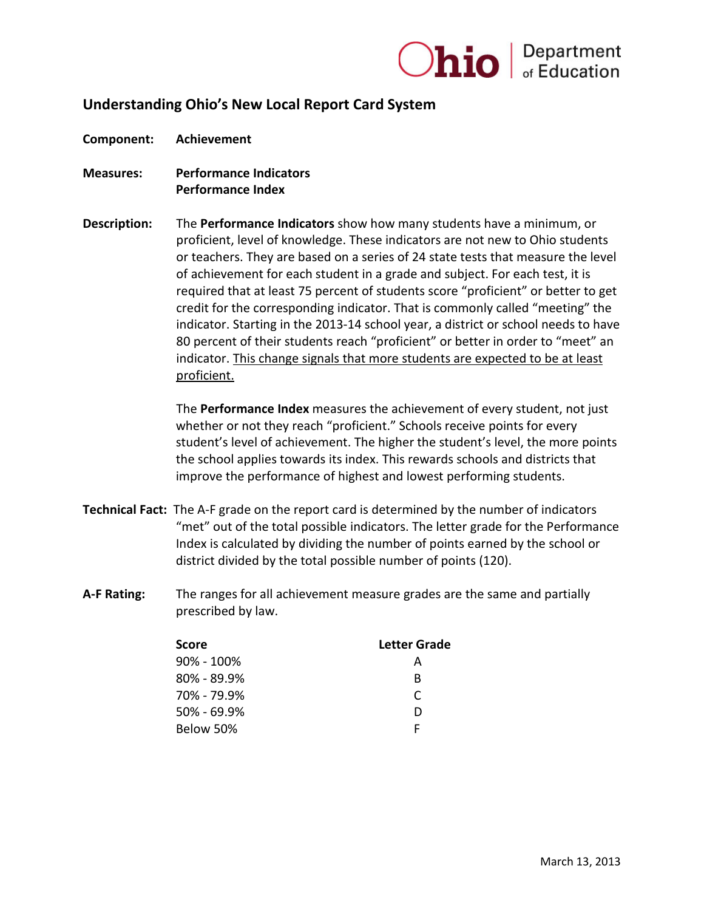

**Component: Achievement** 

- **Measures: Performance Indicators Performance Index**
- **Description:** The **Performance Indicators** show how many students have a minimum, or proficient, level of knowledge. These indicators are not new to Ohio students or teachers. They are based on a series of 24 state tests that measure the level of achievement for each student in a grade and subject. For each test, it is required that at least 75 percent of students score "proficient" or better to get credit for the corresponding indicator. That is commonly called "meeting" the indicator. Starting in the 2013-14 school year, a district or school needs to have 80 percent of their students reach "proficient" or better in order to "meet" an indicator. This change signals that more students are expected to be at least proficient.

The **Performance Index** measures the achievement of every student, not just whether or not they reach "proficient." Schools receive points for every student's level of achievement. The higher the student's level, the more points the school applies towards its index. This rewards schools and districts that improve the performance of highest and lowest performing students.

- **Technical Fact:** The A-F grade on the report card is determined by the number of indicators "met" out of the total possible indicators. The letter grade for the Performance Index is calculated by dividing the number of points earned by the school or district divided by the total possible number of points (120).
- **A-F Rating:** The ranges for all achievement measure grades are the same and partially prescribed by law.

| Score           | Letter Grade |
|-----------------|--------------|
| 90% - 100%      | А            |
| $80\% - 89.9\%$ | B            |
| 70% - 79.9%     | C            |
| $50\% - 69.9\%$ | D            |
| Below 50%       | Е            |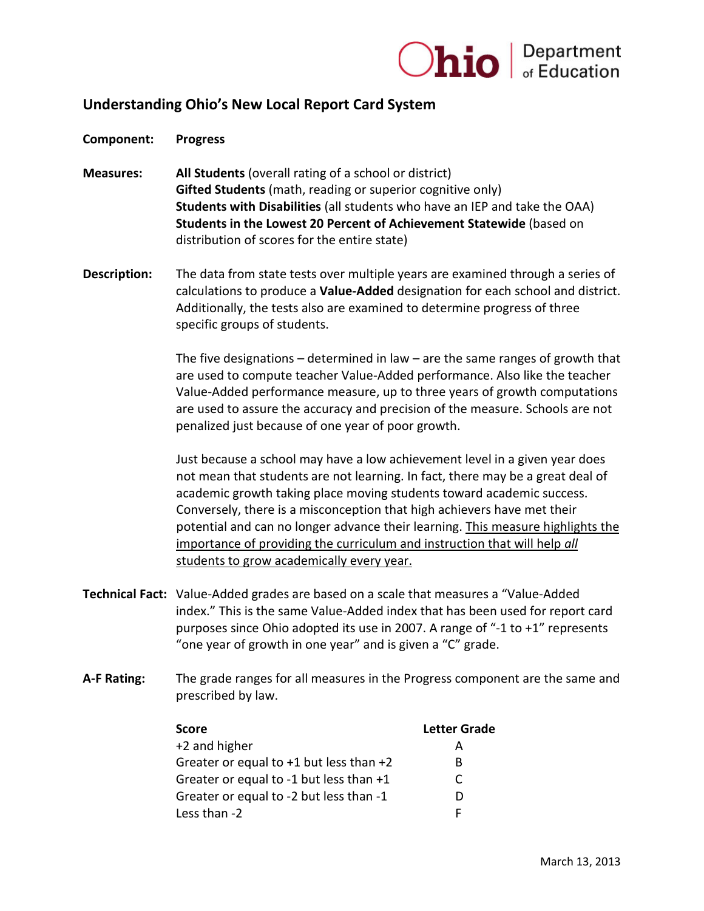

**Component: Progress** 

- **Measures: All Students** (overall rating of a school or district) **Gifted Students** (math, reading or superior cognitive only) **Students with Disabilities** (all students who have an IEP and take the OAA) **Students in the Lowest 20 Percent of Achievement Statewide** (based on distribution of scores for the entire state)
- **Description:** The data from state tests over multiple years are examined through a series of calculations to produce a **Value-Added** designation for each school and district. Additionally, the tests also are examined to determine progress of three specific groups of students.

The five designations  $-$  determined in law  $-$  are the same ranges of growth that are used to compute teacher Value-Added performance. Also like the teacher Value-Added performance measure, up to three years of growth computations are used to assure the accuracy and precision of the measure. Schools are not penalized just because of one year of poor growth.

Just because a school may have a low achievement level in a given year does not mean that students are not learning. In fact, there may be a great deal of academic growth taking place moving students toward academic success. Conversely, there is a misconception that high achievers have met their potential and can no longer advance their learning. This measure highlights the importance of providing the curriculum and instruction that will help *all*  students to grow academically every year.

- **Technical Fact:** Value-Added grades are based on a scale that measures a "Value-Added index." This is the same Value-Added index that has been used for report card purposes since Ohio adopted its use in 2007. A range of "-1 to +1" represents "one year of growth in one year" and is given a "C" grade.
- **A-F Rating:** The grade ranges for all measures in the Progress component are the same and prescribed by law.

| <b>Score</b>                                | <b>Letter Grade</b> |
|---------------------------------------------|---------------------|
| $+2$ and higher                             | А                   |
| Greater or equal to $+1$ but less than $+2$ | в                   |
| Greater or equal to -1 but less than +1     | C                   |
| Greater or equal to -2 but less than -1     | Ð                   |
| Less than -2                                | F                   |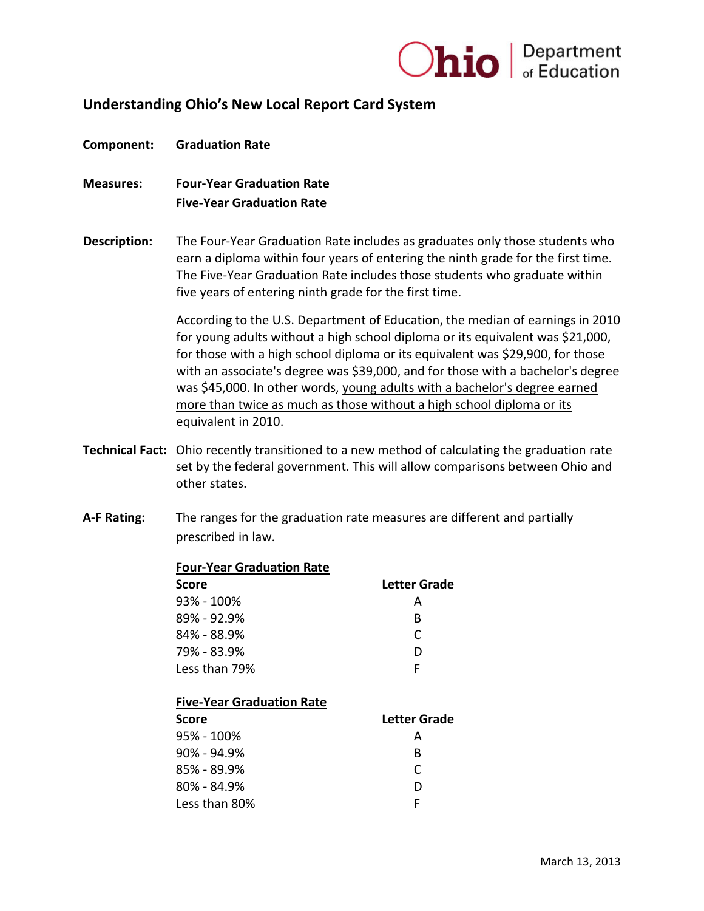

#### **Component: Graduation Rate**

- **Measures: Four-Year Graduation Rate Five-Year Graduation Rate**
- **Description:** The Four-Year Graduation Rate includes as graduates only those students who earn a diploma within four years of entering the ninth grade for the first time. The Five-Year Graduation Rate includes those students who graduate within five years of entering ninth grade for the first time.

According to the U.S. Department of Education, the median of earnings in 2010 for young adults without a high school diploma or its equivalent was \$21,000, for those with a high school diploma or its equivalent was \$29,900, for those with an associate's degree was \$39,000, and for those with a bachelor's degree was \$45,000. In other words, young adults with a bachelor's degree earned more than twice as much as those without a high school diploma or its equivalent in 2010.

- **Technical Fact:** Ohio recently transitioned to a new method of calculating the graduation rate set by the federal government. This will allow comparisons between Ohio and other states.
- **A-F Rating:** The ranges for the graduation rate measures are different and partially prescribed in law.

| <b>Four-Year Graduation Rate</b> |              |
|----------------------------------|--------------|
| Score                            | Letter Grade |
| 93% - 100%                       | А            |
| 89% - 92.9%                      | B            |
| 84% - 88.9%                      | C            |
| 79% - 83.9%                      | D            |
| Less than 79%                    | F            |
|                                  |              |
| <b>Five-Year Graduation Rate</b> |              |
| Score                            | Letter Grade |
| 95% - 100%                       | А            |
| $90\%$ - 94.9%                   | B            |
| 85% - 89.9%                      | C            |
| 80% - 84.9%                      | D            |
|                                  |              |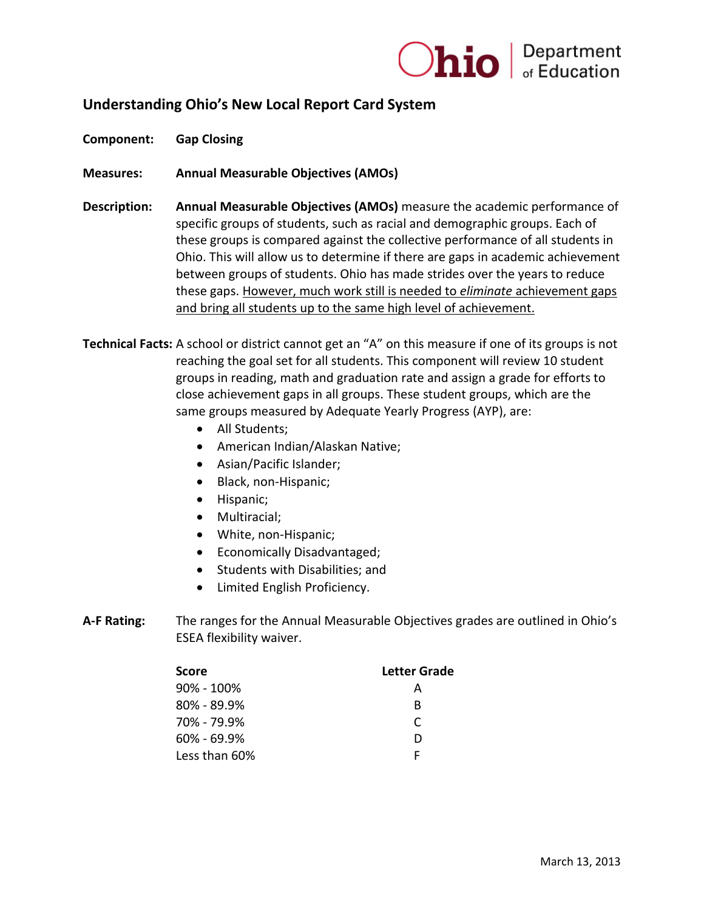

**Component: Gap Closing** 

**Measures: Annual Measurable Objectives (AMOs)**

- **Description: Annual Measurable Objectives (AMOs)** measure the academic performance of specific groups of students, such as racial and demographic groups. Each of these groups is compared against the collective performance of all students in Ohio. This will allow us to determine if there are gaps in academic achievement between groups of students. Ohio has made strides over the years to reduce these gaps. However, much work still is needed to *eliminate* achievement gaps and bring all students up to the same high level of achievement.
- **Technical Facts:** A school or district cannot get an "A" on this measure if one of its groups is not reaching the goal set for all students. This component will review 10 student groups in reading, math and graduation rate and assign a grade for efforts to close achievement gaps in all groups. These student groups, which are the same groups measured by Adequate Yearly Progress (AYP), are:
	- All Students;
	- American Indian/Alaskan Native;
	- Asian/Pacific Islander;
	- Black, non-Hispanic;
	- Hispanic;
	- Multiracial;
	- White, non-Hispanic;
	- Economically Disadvantaged;
	- Students with Disabilities; and
	- Limited English Proficiency.
- **A-F Rating:** The ranges for the Annual Measurable Objectives grades are outlined in Ohio's ESEA flexibility waiver.

| <b>Score</b>    | Letter Grade |
|-----------------|--------------|
| $90\% - 100\%$  | А            |
| $80\% - 89.9\%$ | R            |
| 70% - 79.9%     | C            |
| $60\% - 69.9\%$ | ו ו          |
| Less than 60%   |              |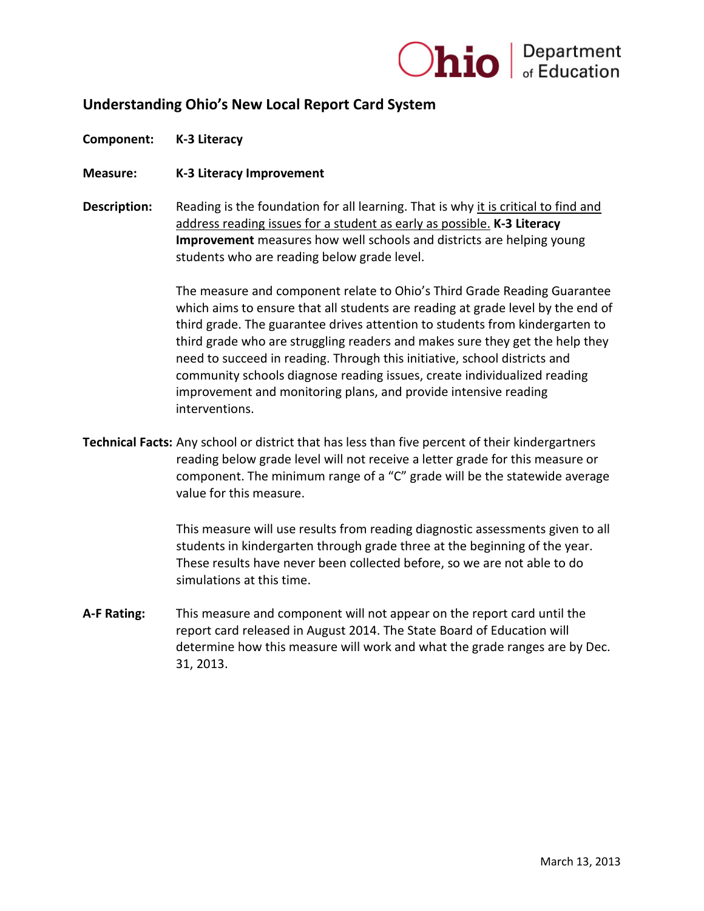

**Component: K-3 Literacy** 

**Measure: K-3 Literacy Improvement**

**Description:** Reading is the foundation for all learning. That is why it is critical to find and address reading issues for a student as early as possible. **K-3 Literacy Improvement** measures how well schools and districts are helping young students who are reading below grade level.

> The measure and component relate to Ohio's Third Grade Reading Guarantee which aims to ensure that all students are reading at grade level by the end of third grade. The guarantee drives attention to students from kindergarten to third grade who are struggling readers and makes sure they get the help they need to succeed in reading. Through this initiative, school districts and community schools diagnose reading issues, create individualized reading improvement and monitoring plans, and provide intensive reading interventions.

**Technical Facts:** Any school or district that has less than five percent of their kindergartners reading below grade level will not receive a letter grade for this measure or component. The minimum range of a "C" grade will be the statewide average value for this measure.

> This measure will use results from reading diagnostic assessments given to all students in kindergarten through grade three at the beginning of the year. These results have never been collected before, so we are not able to do simulations at this time.

**A-F Rating:** This measure and component will not appear on the report card until the report card released in August 2014. The State Board of Education will determine how this measure will work and what the grade ranges are by Dec. 31, 2013.